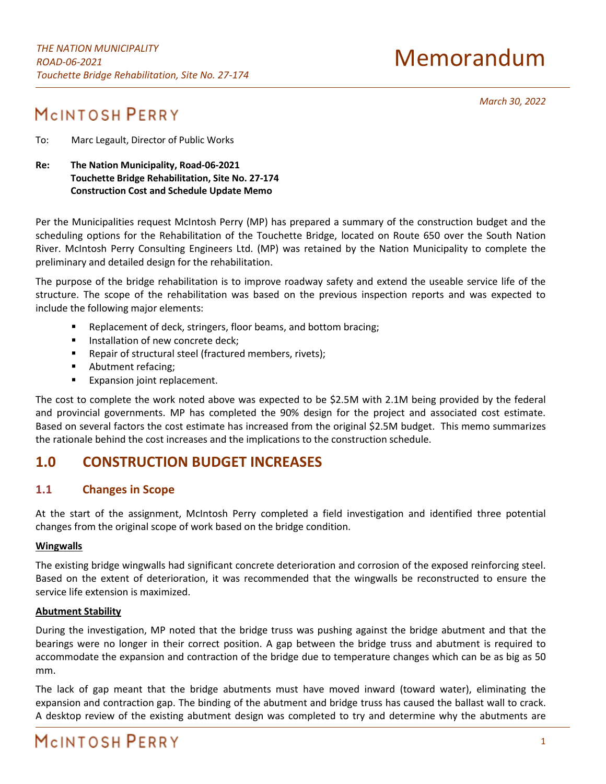# Memorandum

*March 30, 2022*

# MCINTOSH PERRY

To: Marc Legault, Director of Public Works

**Re: The Nation Municipality, Road-06-2021 Touchette Bridge Rehabilitation, Site No. 27-174 Construction Cost and Schedule Update Memo**

Per the Municipalities request McIntosh Perry (MP) has prepared a summary of the construction budget and the scheduling options for the Rehabilitation of the Touchette Bridge, located on Route 650 over the South Nation River. McIntosh Perry Consulting Engineers Ltd. (MP) was retained by the Nation Municipality to complete the preliminary and detailed design for the rehabilitation.

The purpose of the bridge rehabilitation is to improve roadway safety and extend the useable service life of the structure. The scope of the rehabilitation was based on the previous inspection reports and was expected to include the following major elements:

- Replacement of deck, stringers, floor beams, and bottom bracing;
- Installation of new concrete deck;
- Repair of structural steel (fractured members, rivets);
- Abutment refacing;
- **Expansion joint replacement.**

The cost to complete the work noted above was expected to be \$2.5M with 2.1M being provided by the federal and provincial governments. MP has completed the 90% design for the project and associated cost estimate. Based on several factors the cost estimate has increased from the original \$2.5M budget. This memo summarizes the rationale behind the cost increases and the implications to the construction schedule.

# **1.0 CONSTRUCTION BUDGET INCREASES**

# **1.1 Changes in Scope**

At the start of the assignment, McIntosh Perry completed a field investigation and identified three potential changes from the original scope of work based on the bridge condition.

### **Wingwalls**

The existing bridge wingwalls had significant concrete deterioration and corrosion of the exposed reinforcing steel. Based on the extent of deterioration, it was recommended that the wingwalls be reconstructed to ensure the service life extension is maximized.

### **Abutment Stability**

During the investigation, MP noted that the bridge truss was pushing against the bridge abutment and that the bearings were no longer in their correct position. A gap between the bridge truss and abutment is required to accommodate the expansion and contraction of the bridge due to temperature changes which can be as big as 50 mm.

The lack of gap meant that the bridge abutments must have moved inward (toward water), eliminating the expansion and contraction gap. The binding of the abutment and bridge truss has caused the ballast wall to crack. A desktop review of the existing abutment design was completed to try and determine why the abutments are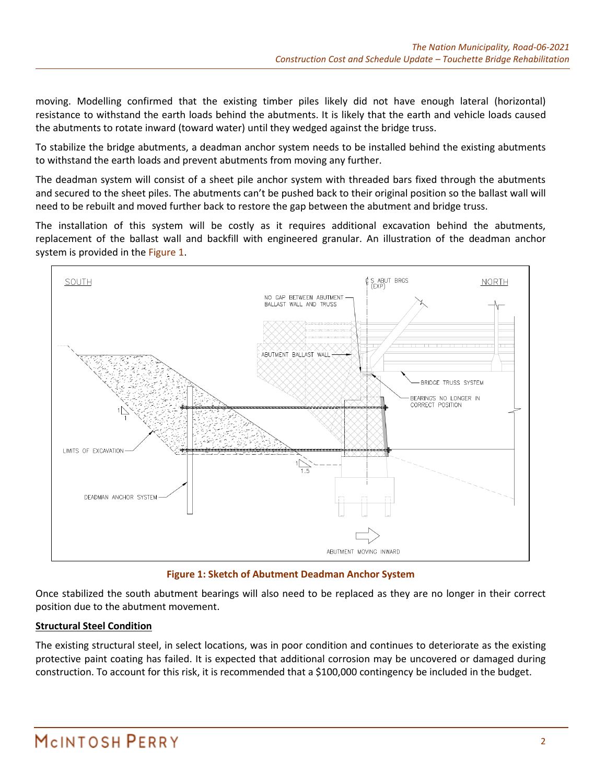moving. Modelling confirmed that the existing timber piles likely did not have enough lateral (horizontal) resistance to withstand the earth loads behind the abutments. It is likely that the earth and vehicle loads caused the abutments to rotate inward (toward water) until they wedged against the bridge truss.

To stabilize the bridge abutments, a deadman anchor system needs to be installed behind the existing abutments to withstand the earth loads and prevent abutments from moving any further.

The deadman system will consist of a sheet pile anchor system with threaded bars fixed through the abutments and secured to the sheet piles. The abutments can't be pushed back to their original position so the ballast wall will need to be rebuilt and moved further back to restore the gap between the abutment and bridge truss.

The installation of this system will be costly as it requires additional excavation behind the abutments, replacement of the ballast wall and backfill with engineered granular. An illustration of the deadman anchor system is provided in the [Figure 1.](#page-1-0)



**Figure 1: Sketch of Abutment Deadman Anchor System**

<span id="page-1-0"></span>Once stabilized the south abutment bearings will also need to be replaced as they are no longer in their correct position due to the abutment movement.

### **Structural Steel Condition**

The existing structural steel, in select locations, was in poor condition and continues to deteriorate as the existing protective paint coating has failed. It is expected that additional corrosion may be uncovered or damaged during construction. To account for this risk, it is recommended that a \$100,000 contingency be included in the budget.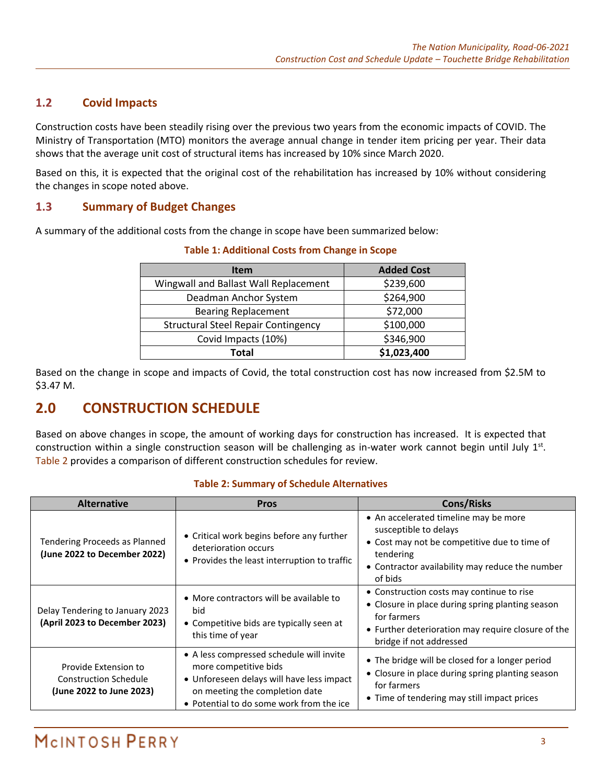## **1.2 Covid Impacts**

Construction costs have been steadily rising over the previous two years from the economic impacts of COVID. The Ministry of Transportation (MTO) monitors the average annual change in tender item pricing per year. Their data shows that the average unit cost of structural items has increased by 10% since March 2020.

Based on this, it is expected that the original cost of the rehabilitation has increased by 10% without considering the changes in scope noted above.

### **1.3 Summary of Budget Changes**

A summary of the additional costs from the change in scope have been summarized below:

| <b>Item</b>                                | <b>Added Cost</b> |  |
|--------------------------------------------|-------------------|--|
| Wingwall and Ballast Wall Replacement      | \$239,600         |  |
| Deadman Anchor System                      | \$264,900         |  |
| <b>Bearing Replacement</b>                 | \$72,000          |  |
| <b>Structural Steel Repair Contingency</b> | \$100,000         |  |
| Covid Impacts (10%)                        | \$346,900         |  |
| Total                                      | \$1,023,400       |  |

#### **Table 1: Additional Costs from Change in Scope**

Based on the change in scope and impacts of Covid, the total construction cost has now increased from \$2.5M to \$3.47 M.

# **2.0 CONSTRUCTION SCHEDULE**

Based on above changes in scope, the amount of working days for construction has increased. It is expected that construction within a single construction season will be challenging as in-water work cannot begin until July  $1<sup>st</sup>$ . [Table 2](#page-2-0) provides a comparison of different construction schedules for review.

<span id="page-2-0"></span>

| <b>Alternative</b>                                                               | <b>Pros</b>                                                                                                                                                                                  | <b>Cons/Risks</b>                                                                                                                                                                             |
|----------------------------------------------------------------------------------|----------------------------------------------------------------------------------------------------------------------------------------------------------------------------------------------|-----------------------------------------------------------------------------------------------------------------------------------------------------------------------------------------------|
| Tendering Proceeds as Planned<br>(June 2022 to December 2022)                    | • Critical work begins before any further<br>deterioration occurs<br>• Provides the least interruption to traffic                                                                            | • An accelerated timeline may be more<br>susceptible to delays<br>• Cost may not be competitive due to time of<br>tendering<br>• Contractor availability may reduce the number<br>of bids     |
| Delay Tendering to January 2023<br>(April 2023 to December 2023)                 | • More contractors will be available to<br><b>bid</b><br>• Competitive bids are typically seen at<br>this time of year                                                                       | • Construction costs may continue to rise<br>• Closure in place during spring planting season<br>for farmers<br>• Further deterioration may require closure of the<br>bridge if not addressed |
| Provide Extension to<br><b>Construction Schedule</b><br>(June 2022 to June 2023) | • A less compressed schedule will invite<br>more competitive bids<br>• Unforeseen delays will have less impact<br>on meeting the completion date<br>• Potential to do some work from the ice | • The bridge will be closed for a longer period<br>• Closure in place during spring planting season<br>for farmers<br>• Time of tendering may still impact prices                             |

#### **Table 2: Summary of Schedule Alternatives**

# MCINTOSH PERRY